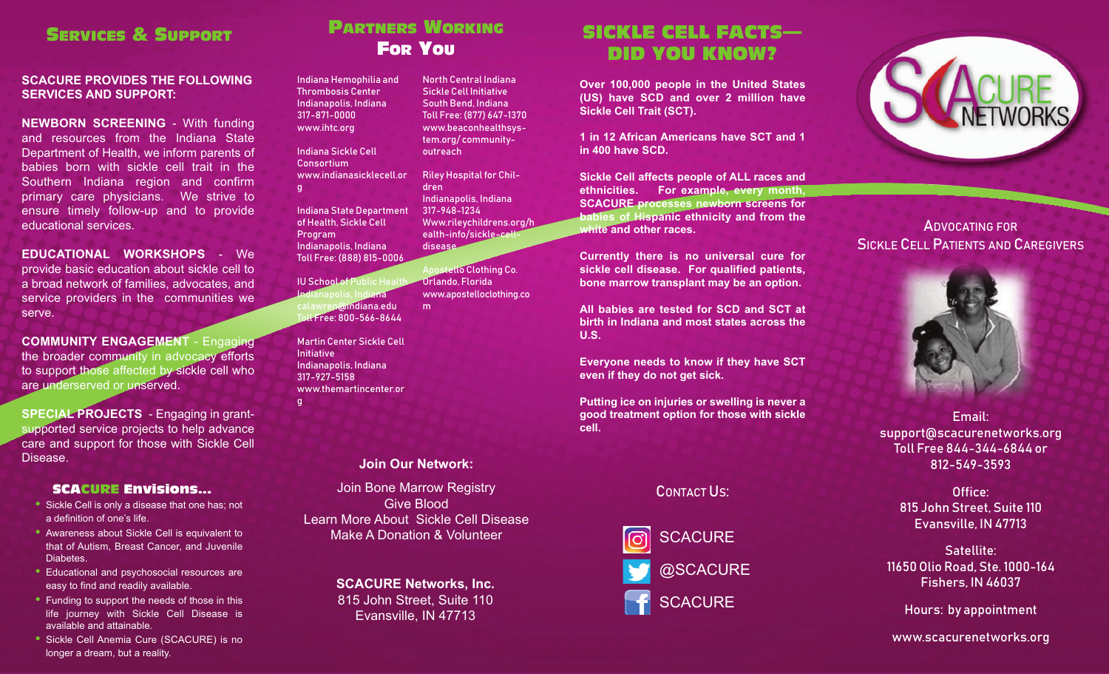### SERVICES & SUPPORT

#### **SCACURE PROVIDES THE FOLLOWING SERVICES AND SUPPORT:**

**NEWBORN SCREENING** - With funding and resources from the Indiana State Department of Health, we inform parents of babies born with sickle cell trait in theSouthern Indiana region and confirm primary care physicians. We strive to ensure timely follow-up and to provide educational services.

**EDUCATIONAL WORKSHOPS** - We provide basic education about sickle cell to a broad network of families, advocates, and service providers in the communities we serve.

**COMMUNITY ENGAGEMENT** - Engaging the broader community in advocacy efforts to support those affected by sickle cell who are underserved or unserved.

**SPECIAL PROJECTS** - Engaging in grantsupported service projects to help advance care and support for those with Sickle Cell Disease.

#### SCACURE Envisions...

- **•** Sickle Cell is only a disease that one has; not a definition of one's life.
- **•** Awareness about Sickle Cell is equivalent to that of Autism, Breast Cancer, and Juvenile Diabetes.
- **•** Educational and psychosocial resources are easy to find and readily available.
- **•** Funding to support the needs of those in this life journey with Sickle Cell Disease is available and attainable.
- **•** Sickle Cell Anemia Cure (SCACURE) is no longer a dream, but a reality.

### PARTNERS WORKING For You

Indiana Hemophilia and Thrombosis Center Indianapolis, Indiana 317-871-0000www.ihtc.org Indiana Sickle Cell www.indianasicklecell.orNorth Central IndianaSickle Cell InitiativeSouth Bend, Indiana Toll Free: (877) 647-1370 www.beaconhealthsystem.org/ communityoutreachRiley Hospital for Children

> Apostello Clothing Co. Orlando, Florida

www.apostelloclothing.co

Indiana State Department of Health, Sickle Cell Program Indianapolis, Indiana Toll Free: (888) 815-0006 Indianapolis, Indiana 317-948-1234Www.rileychildrens.org/h ealth-info/sickle-celldisease

**IU School of Public Health** ndia**na** calawren@indiana.edu Toll Free: 800-566-8644

Consortium

g

g

Martin Center Sickle CellInitiativeIndianapolis, Indiana 317-927-5158www.themartincenter.or

#### **Join Our Network:**

m

Join Bone Marrow Registry Give BloodLearn More About Sickle Cell DiseaseMake A Donation & Volunteer

> **SCACURE Networks, Inc.** 815 John Street, Suite 110 Evansville, IN 47713

## SICKLE CELL FACTS—DID YOU KNOW?

**Over 100,000 people in the United States (US) have SCD and over 2 million have Sickle Cell Trait (SCT).**

**1 in 12 African Americans have SCT and 1in 400 have SCD.**

**Sickle Cell affects people of ALL races and ethnicities. For example, every month, SCACURE processes newborn screens for babies of Hispanic ethnicity and from the white and other races.**

**Currently there is no universal cure for sickle cell disease. For qualified patients, bone marrow transplant may be an option.**

**All babies are tested for SCD and SCT atbirth in Indiana and most states across theU.S.**

**Everyone needs to know if they have SCT even if they do not get sick.**

**Putting ice on injuries or swelling is never a good treatment option for those with sickle cell.**

#### CONTACT US:





ADVOCATING FORSICKLE CELL PATIENTS AND CAREGIVERS



Email: support@scacurenetworks.org Toll Free 844-344-6844 or 812-549-3593

> Office: 815 John Street, Suite 110 Evansville, IN 47713

Satellite: 11650 Olio Road, Ste. 1000-164 Fishers, IN 46037

Hours: by appointment

www.scacurenetworks.org